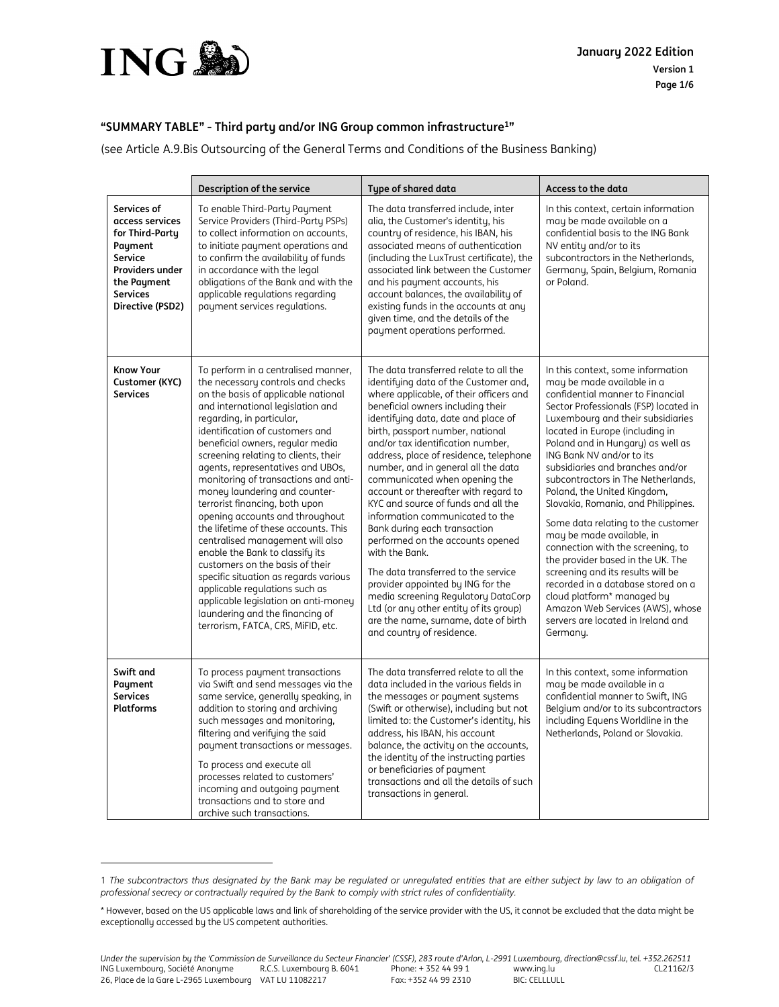

 $\overline{a}$ 

## **"SUMMARY TABLE" - Third party and/or ING Group common infrastructure<sup>1</sup> "**

(see Article A.9.Bis Outsourcing of the General Terms and Conditions of the Business Banking)

|                                                                                                                                                  | Description of the service                                                                                                                                                                                                                                                                                                                                                                                                                                                                                                                                                                                                                                                                                                                                                                                                        | Type of shared data                                                                                                                                                                                                                                                                                                                                                                                                                                                                                                                                                                                                                                                                                                                                                                                                                         | Access to the data                                                                                                                                                                                                                                                                                                                                                                                                                                                                                                                                                                                                                                                                                                                                                                 |
|--------------------------------------------------------------------------------------------------------------------------------------------------|-----------------------------------------------------------------------------------------------------------------------------------------------------------------------------------------------------------------------------------------------------------------------------------------------------------------------------------------------------------------------------------------------------------------------------------------------------------------------------------------------------------------------------------------------------------------------------------------------------------------------------------------------------------------------------------------------------------------------------------------------------------------------------------------------------------------------------------|---------------------------------------------------------------------------------------------------------------------------------------------------------------------------------------------------------------------------------------------------------------------------------------------------------------------------------------------------------------------------------------------------------------------------------------------------------------------------------------------------------------------------------------------------------------------------------------------------------------------------------------------------------------------------------------------------------------------------------------------------------------------------------------------------------------------------------------------|------------------------------------------------------------------------------------------------------------------------------------------------------------------------------------------------------------------------------------------------------------------------------------------------------------------------------------------------------------------------------------------------------------------------------------------------------------------------------------------------------------------------------------------------------------------------------------------------------------------------------------------------------------------------------------------------------------------------------------------------------------------------------------|
| Services of<br>access services<br>for Third-Party<br>Payment<br>Service<br>Providers under<br>the Payment<br><b>Services</b><br>Directive (PSD2) | To enable Third-Party Payment<br>Service Providers (Third-Party PSPs)<br>to collect information on accounts,<br>to initiate payment operations and<br>to confirm the availability of funds<br>in accordance with the legal<br>obligations of the Bank and with the<br>applicable regulations regarding<br>payment services regulations.                                                                                                                                                                                                                                                                                                                                                                                                                                                                                           | The data transferred include, inter<br>alia, the Customer's identity, his<br>country of residence, his IBAN, his<br>associated means of authentication<br>(including the LuxTrust certificate), the<br>associated link between the Customer<br>and his payment accounts, his<br>account balances, the availability of<br>existing funds in the accounts at any<br>given time, and the details of the<br>payment operations performed.                                                                                                                                                                                                                                                                                                                                                                                                       | In this context, certain information<br>may be made available on a<br>confidential basis to the ING Bank<br>NV entity and/or to its<br>subcontractors in the Netherlands,<br>Germany, Spain, Belgium, Romania<br>or Poland.                                                                                                                                                                                                                                                                                                                                                                                                                                                                                                                                                        |
| <b>Know Your</b><br>Customer (KYC)<br><b>Services</b>                                                                                            | To perform in a centralised manner,<br>the necessary controls and checks<br>on the basis of applicable national<br>and international legislation and<br>regarding, in particular,<br>identification of customers and<br>beneficial owners, regular media<br>screening relating to clients, their<br>agents, representatives and UBOs,<br>monitoring of transactions and anti-<br>money laundering and counter-<br>terrorist financing, both upon<br>opening accounts and throughout<br>the lifetime of these accounts. This<br>centralised management will also<br>enable the Bank to classify its<br>customers on the basis of their<br>specific situation as regards various<br>applicable regulations such as<br>applicable legislation on anti-money<br>laundering and the financing of<br>terrorism, FATCA, CRS, MiFID, etc. | The data transferred relate to all the<br>identifying data of the Customer and,<br>where applicable, of their officers and<br>beneficial owners including their<br>identifying data, date and place of<br>birth, passport number, national<br>and/or tax identification number,<br>address, place of residence, telephone<br>number, and in general all the data<br>communicated when opening the<br>account or thereafter with regard to<br>KYC and source of funds and all the<br>information communicated to the<br>Bank during each transaction<br>performed on the accounts opened<br>with the Bank.<br>The data transferred to the service<br>provider appointed by ING for the<br>media screening Regulatory DataCorp<br>Ltd (or any other entity of its group)<br>are the name, surname, date of birth<br>and country of residence. | In this context, some information<br>may be made available in a<br>confidential manner to Financial<br>Sector Professionals (FSP) located in<br>Luxembourg and their subsidiaries<br>located in Europe (including in<br>Poland and in Hungary) as well as<br>ING Bank NV and/or to its<br>subsidiaries and branches and/or<br>subcontractors in The Netherlands,<br>Poland, the United Kingdom,<br>Slovakia, Romania, and Philippines.<br>Some data relating to the customer<br>may be made available, in<br>connection with the screening, to<br>the provider based in the UK. The<br>screening and its results will be<br>recorded in a database stored on a<br>cloud platform* managed by<br>Amazon Web Services (AWS), whose<br>servers are located in Ireland and<br>Germany. |
| Swift and<br>Payment<br><b>Services</b><br><b>Platforms</b>                                                                                      | To process payment transactions<br>via Swift and send messages via the<br>same service, generally speaking, in<br>addition to storing and archiving<br>such messages and monitoring,<br>filtering and verifying the said<br>payment transactions or messages.<br>To process and execute all<br>processes related to customers'<br>incoming and outgoing payment<br>transactions and to store and<br>archive such transactions.                                                                                                                                                                                                                                                                                                                                                                                                    | The data transferred relate to all the<br>data included in the various fields in<br>the messages or payment systems<br>(Swift or otherwise), including but not<br>limited to: the Customer's identity, his<br>address, his IBAN, his account<br>balance, the activity on the accounts,<br>the identity of the instructing parties<br>or beneficiaries of payment<br>transactions and all the details of such<br>transactions in general.                                                                                                                                                                                                                                                                                                                                                                                                    | In this context, some information<br>may be made available in a<br>confidential manner to Swift, ING<br>Belgium and/or to its subcontractors<br>including Equens Worldline in the<br>Netherlands, Poland or Slovakia.                                                                                                                                                                                                                                                                                                                                                                                                                                                                                                                                                              |

<sup>1</sup> *The subcontractors thus designated by the Bank may be regulated or unregulated entities that are either subject by law to an obligation of professional secrecy or contractually required by the Bank to comply with strict rules of confidentiality.*

<sup>\*</sup> However, based on the US applicable laws and link of shareholding of the service provider with the US, it cannot be excluded that the data might be exceptionally accessed by the US competent authorities.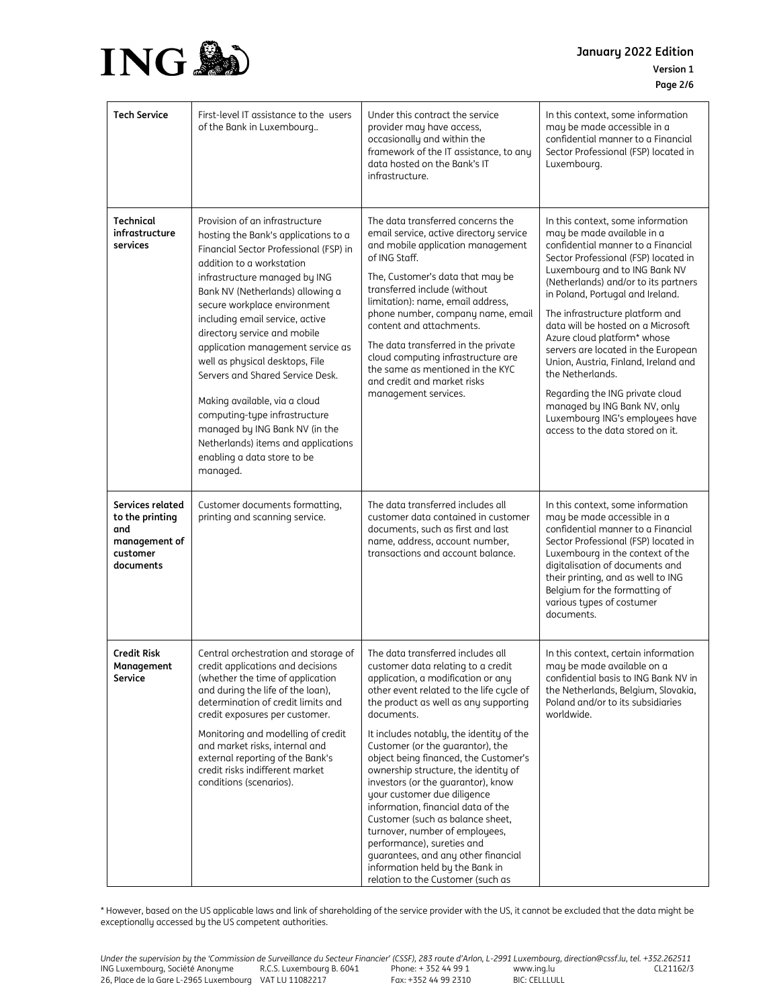

**January 2022 Edition Version 1 Page 2/6**

| <b>Tech Service</b>                                                                  | First-level IT assistance to the users<br>of the Bank in Luxembourg                                                                                                                                                                                                                                                                                                                                                                                                                                                                                                                                                     | Under this contract the service<br>provider may have access,<br>occasionally and within the<br>framework of the IT assistance, to any<br>data hosted on the Bank's IT<br>infrastructure.                                                                                                                                                                                                                                                                                                                                                                                                                                                                                                                        | In this context, some information<br>may be made accessible in a<br>confidential manner to a Financial<br>Sector Professional (FSP) located in<br>Luxembourg.                                                                                                                                                                                                                                                                                                                                                                                                                                                   |
|--------------------------------------------------------------------------------------|-------------------------------------------------------------------------------------------------------------------------------------------------------------------------------------------------------------------------------------------------------------------------------------------------------------------------------------------------------------------------------------------------------------------------------------------------------------------------------------------------------------------------------------------------------------------------------------------------------------------------|-----------------------------------------------------------------------------------------------------------------------------------------------------------------------------------------------------------------------------------------------------------------------------------------------------------------------------------------------------------------------------------------------------------------------------------------------------------------------------------------------------------------------------------------------------------------------------------------------------------------------------------------------------------------------------------------------------------------|-----------------------------------------------------------------------------------------------------------------------------------------------------------------------------------------------------------------------------------------------------------------------------------------------------------------------------------------------------------------------------------------------------------------------------------------------------------------------------------------------------------------------------------------------------------------------------------------------------------------|
| <b>Technical</b><br>infrastructure<br>services                                       | Provision of an infrastructure<br>hosting the Bank's applications to a<br>Financial Sector Professional (FSP) in<br>addition to a workstation<br>infrastructure managed by ING<br>Bank NV (Netherlands) allowing a<br>secure workplace environment<br>including email service, active<br>directory service and mobile<br>application management service as<br>well as physical desktops, File<br>Servers and Shared Service Desk.<br>Making available, via a cloud<br>computing-type infrastructure<br>managed by ING Bank NV (in the<br>Netherlands) items and applications<br>enabling a data store to be<br>managed. | The data transferred concerns the<br>email service, active directory service<br>and mobile application management<br>of ING Staff.<br>The, Customer's data that may be<br>transferred include (without<br>limitation): name, email address,<br>phone number, company name, email<br>content and attachments.<br>The data transferred in the private<br>cloud computing infrastructure are<br>the same as mentioned in the KYC<br>and credit and market risks<br>management services.                                                                                                                                                                                                                            | In this context, some information<br>may be made available in a<br>confidential manner to a Financial<br>Sector Professional (FSP) located in<br>Luxembourg and to ING Bank NV<br>(Netherlands) and/or to its partners<br>in Poland, Portugal and Ireland.<br>The infrastructure platform and<br>data will be hosted on a Microsoft<br>Azure cloud platform* whose<br>servers are located in the European<br>Union, Austria, Finland, Ireland and<br>the Netherlands.<br>Regarding the ING private cloud<br>managed by ING Bank NV, only<br>Luxembourg ING's employees have<br>access to the data stored on it. |
| Services related<br>to the printing<br>and<br>management of<br>customer<br>documents | Customer documents formatting,<br>printing and scanning service.                                                                                                                                                                                                                                                                                                                                                                                                                                                                                                                                                        | The data transferred includes all<br>customer data contained in customer<br>documents, such as first and last<br>name, address, account number,<br>transactions and account balance.                                                                                                                                                                                                                                                                                                                                                                                                                                                                                                                            | In this context, some information<br>may be made accessible in a<br>confidential manner to a Financial<br>Sector Professional (FSP) located in<br>Luxembourg in the context of the<br>digitalisation of documents and<br>their printing, and as well to ING<br>Belgium for the formatting of<br>various types of costumer<br>documents.                                                                                                                                                                                                                                                                         |
| <b>Credit Risk</b><br>Management<br>Service                                          | Central orchestration and storage of<br>credit applications and decisions<br>(whether the time of application<br>and during the life of the loan),<br>determination of credit limits and<br>credit exposures per customer.<br>Monitoring and modelling of credit<br>and market risks, internal and<br>external reporting of the Bank's<br>credit risks indifferent market<br>conditions (scenarios).                                                                                                                                                                                                                    | The data transferred includes all<br>customer data relating to a credit<br>application, a modification or any<br>other event related to the life cycle of<br>the product as well as any supporting<br>documents.<br>It includes notably, the identity of the<br>Customer (or the guarantor), the<br>object being financed, the Customer's<br>ownership structure, the identity of<br>investors (or the quarantor), know<br>your customer due diligence<br>information, financial data of the<br>Customer (such as balance sheet,<br>turnover, number of employees,<br>performance), sureties and<br>guarantees, and any other financial<br>information held by the Bank in<br>relation to the Customer (such as | In this context, certain information<br>may be made available on a<br>confidential basis to ING Bank NV in<br>the Netherlands, Belgium, Slovakia,<br>Poland and/or to its subsidiaries<br>worldwide.                                                                                                                                                                                                                                                                                                                                                                                                            |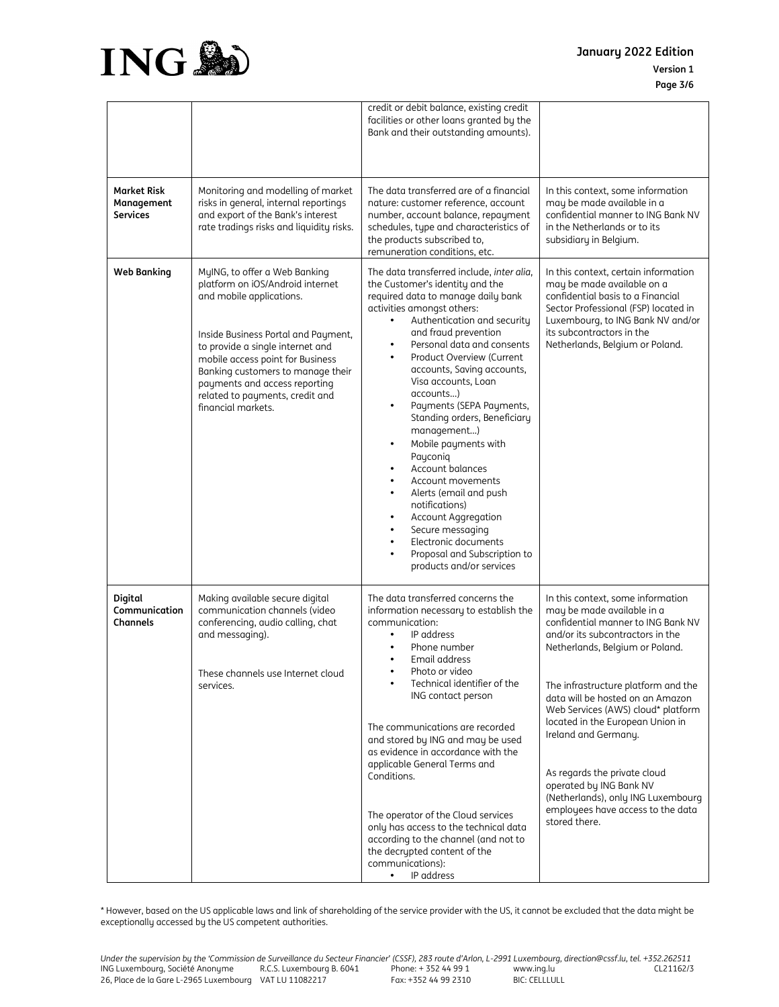



|                                              |                                                                                                                                                                                                                                                                                                                                             | credit or debit balance, existing credit<br>facilities or other loans granted by the<br>Bank and their outstanding amounts).                                                                                                                                                                                                                                                                                                                                                                                                                                                                                                                                                                                                                                                                              |                                                                                                                                                                                                                                                                                                                                                                                                                                                                                                                  |
|----------------------------------------------|---------------------------------------------------------------------------------------------------------------------------------------------------------------------------------------------------------------------------------------------------------------------------------------------------------------------------------------------|-----------------------------------------------------------------------------------------------------------------------------------------------------------------------------------------------------------------------------------------------------------------------------------------------------------------------------------------------------------------------------------------------------------------------------------------------------------------------------------------------------------------------------------------------------------------------------------------------------------------------------------------------------------------------------------------------------------------------------------------------------------------------------------------------------------|------------------------------------------------------------------------------------------------------------------------------------------------------------------------------------------------------------------------------------------------------------------------------------------------------------------------------------------------------------------------------------------------------------------------------------------------------------------------------------------------------------------|
| Market Risk<br>Management<br><b>Services</b> | Monitoring and modelling of market<br>risks in general, internal reportings<br>and export of the Bank's interest<br>rate tradings risks and liquidity risks.                                                                                                                                                                                | The data transferred are of a financial<br>nature: customer reference, account<br>number, account balance, repayment<br>schedules, type and characteristics of<br>the products subscribed to,<br>remuneration conditions, etc.                                                                                                                                                                                                                                                                                                                                                                                                                                                                                                                                                                            | In this context, some information<br>may be made available in a<br>confidential manner to ING Bank NV<br>in the Netherlands or to its<br>subsidiary in Belgium.                                                                                                                                                                                                                                                                                                                                                  |
| <b>Web Banking</b>                           | MyING, to offer a Web Banking<br>platform on iOS/Android internet<br>and mobile applications.<br>Inside Business Portal and Payment,<br>to provide a single internet and<br>mobile access point for Business<br>Banking customers to manage their<br>payments and access reporting<br>related to payments, credit and<br>financial markets. | The data transferred include, inter alia,<br>the Customer's identity and the<br>required data to manage daily bank<br>activities amongst others:<br>Authentication and security<br>$\bullet$<br>and fraud prevention<br>Personal data and consents<br>$\bullet$<br>Product Overview (Current<br>accounts, Saving accounts,<br>Visa accounts, Loan<br>accounts)<br>Payments (SEPA Payments,<br>Standing orders, Beneficiary<br>management)<br>Mobile payments with<br>$\bullet$<br>Payconig<br>Account balances<br>$\bullet$<br>Account movements<br>$\bullet$<br>Alerts (email and push<br>$\bullet$<br>notifications)<br>Account Aggregation<br>$\bullet$<br>Secure messaging<br>$\bullet$<br>Electronic documents<br>$\bullet$<br>Proposal and Subscription to<br>$\bullet$<br>products and/or services | In this context, certain information<br>may be made available on a<br>confidential basis to a Financial<br>Sector Professional (FSP) located in<br>Luxembourg, to ING Bank NV and/or<br>its subcontractors in the<br>Netherlands, Belgium or Poland.                                                                                                                                                                                                                                                             |
| Digital<br>Communication<br>Channels         | Making available secure digital<br>communication channels (video<br>conferencing, audio calling, chat<br>and messaging).<br>These channels use Internet cloud<br>services.                                                                                                                                                                  | The data transferred concerns the<br>information necessary to establish the<br>communication:<br>IP address<br>Phone number<br>Email address<br>$\bullet$<br>Photo or video<br>Technical identifier of the<br>ING contact person<br>The communications are recorded<br>and stored by ING and may be used<br>as evidence in accordance with the<br>applicable General Terms and<br>Conditions.<br>The operator of the Cloud services<br>only has access to the technical data<br>according to the channel (and not to<br>the decrypted content of the<br>communications):<br>IP address<br>$\bullet$                                                                                                                                                                                                       | In this context, some information<br>may be made available in a<br>confidential manner to ING Bank NV<br>and/or its subcontractors in the<br>Netherlands, Belgium or Poland.<br>The infrastructure platform and the<br>data will be hosted on an Amazon<br>Web Services (AWS) cloud* platform<br>located in the European Union in<br>Ireland and Germany.<br>As regards the private cloud<br>operated by ING Bank NV<br>(Netherlands), only ING Luxembourg<br>employees have access to the data<br>stored there. |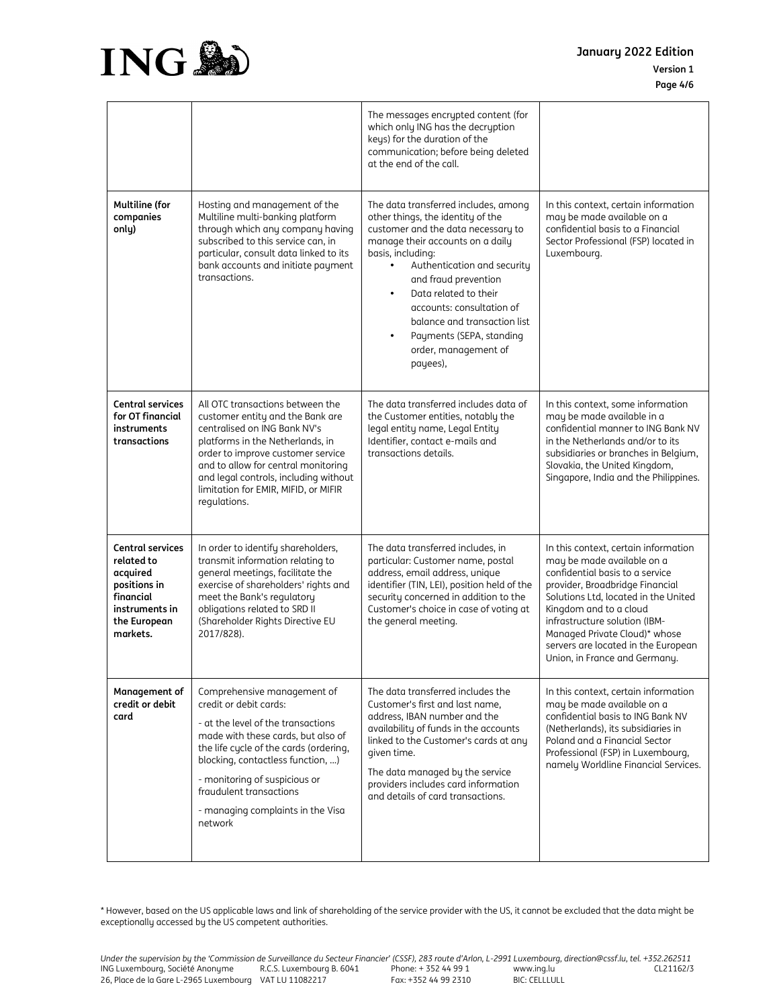

| January 2022 Edition |
|----------------------|
| <b>Version 1</b>     |
| Page 4/6             |

|                                                                                                                              |                                                                                                                                                                                                                                                                                                                              | The messages encrypted content (for<br>which only ING has the decryption<br>keys) for the duration of the<br>communication; before being deleted<br>at the end of the call.                                                                                                                                                                                                                                                  |                                                                                                                                                                                                                                                                                                                                                      |
|------------------------------------------------------------------------------------------------------------------------------|------------------------------------------------------------------------------------------------------------------------------------------------------------------------------------------------------------------------------------------------------------------------------------------------------------------------------|------------------------------------------------------------------------------------------------------------------------------------------------------------------------------------------------------------------------------------------------------------------------------------------------------------------------------------------------------------------------------------------------------------------------------|------------------------------------------------------------------------------------------------------------------------------------------------------------------------------------------------------------------------------------------------------------------------------------------------------------------------------------------------------|
| <b>Multiline (for</b><br>companies<br>only)                                                                                  | Hosting and management of the<br>Multiline multi-banking platform<br>through which any company having<br>subscribed to this service can, in<br>particular, consult data linked to its<br>bank accounts and initiate payment<br>transactions.                                                                                 | The data transferred includes, among<br>other things, the identity of the<br>customer and the data necessary to<br>manage their accounts on a daily<br>basis, including:<br>Authentication and security<br>$\bullet$<br>and fraud prevention<br>Data related to their<br>$\bullet$<br>accounts: consultation of<br>balance and transaction list<br>Payments (SEPA, standing<br>$\bullet$<br>order, management of<br>payees), | In this context, certain information<br>may be made available on a<br>confidential basis to a Financial<br>Sector Professional (FSP) located in<br>Luxembourg.                                                                                                                                                                                       |
| <b>Central services</b><br>for OT financial<br>instruments<br>transactions                                                   | All OTC transactions between the<br>customer entity and the Bank are<br>centralised on ING Bank NV's<br>platforms in the Netherlands, in<br>order to improve customer service<br>and to allow for central monitoring<br>and legal controls, including without<br>limitation for EMIR, MIFID, or MIFIR<br>regulations.        | The data transferred includes data of<br>the Customer entities, notably the<br>legal entity name, Legal Entity<br>Identifier, contact e-mails and<br>transactions details.                                                                                                                                                                                                                                                   | In this context, some information<br>may be made available in a<br>confidential manner to ING Bank NV<br>in the Netherlands and/or to its<br>subsidiaries or branches in Belgium,<br>Slovakia, the United Kingdom,<br>Singapore, India and the Philippines.                                                                                          |
| <b>Central services</b><br>related to<br>acquired<br>positions in<br>financial<br>instruments in<br>the European<br>markets. | In order to identify shareholders,<br>transmit information relating to<br>general meetings, facilitate the<br>exercise of shareholders' rights and<br>meet the Bank's regulatory<br>obligations related to SRD II<br>(Shareholder Rights Directive EU<br>2017/828).                                                          | The data transferred includes, in<br>particular: Customer name, postal<br>address, email address, unique<br>identifier (TIN, LEI), position held of the<br>security concerned in addition to the<br>Customer's choice in case of voting at<br>the general meeting.                                                                                                                                                           | In this context, certain information<br>may be made available on a<br>confidential basis to a service<br>provider, Broadbridge Financial<br>Solutions Ltd, located in the United<br>Kingdom and to a cloud<br>infrastructure solution (IBM-<br>Managed Private Cloud)* whose<br>servers are located in the European<br>Union, in France and Germany. |
| Management of<br>credit or debit<br>card                                                                                     | Comprehensive management of<br>credit or debit cards:<br>- at the level of the transactions<br>made with these cards, but also of<br>the life cycle of the cards (ordering,<br>blocking, contactless function, )<br>- monitoring of suspicious or<br>fraudulent transactions<br>- managing complaints in the Visa<br>network | The data transferred includes the<br>Customer's first and last name,<br>address, IBAN number and the<br>availability of funds in the accounts<br>linked to the Customer's cards at any<br>given time.<br>The data managed by the service<br>providers includes card information<br>and details of card transactions.                                                                                                         | In this context, certain information<br>may be made available on a<br>confidential basis to ING Bank NV<br>(Netherlands), its subsidiaries in<br>Poland and a Financial Sector<br>Professional (FSP) in Luxembourg,<br>namely Worldline Financial Services.                                                                                          |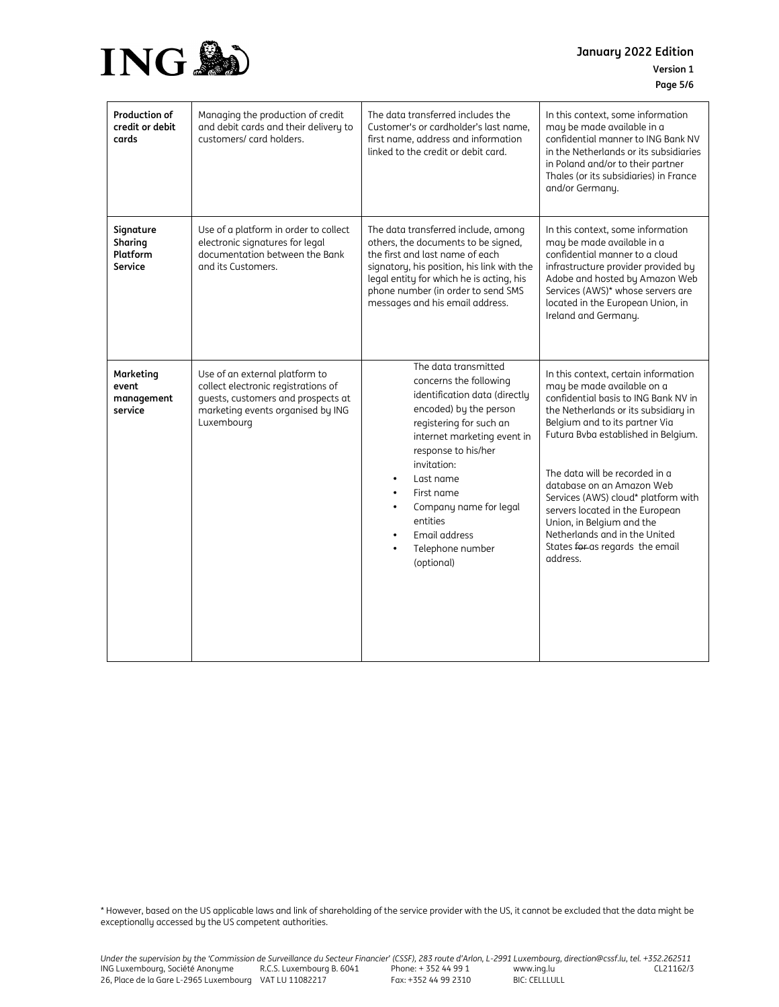

| <b>Version 1</b> |
|------------------|
| Page 5/6         |

| <b>Production of</b><br>credit or debit<br>cards | Managing the production of credit<br>and debit cards and their delivery to<br>customers/ card holders.                                                         | The data transferred includes the<br>Customer's or cardholder's last name,<br>first name, address and information<br>linked to the credit or debit card.                                                                                                                                                                      | In this context, some information<br>may be made available in a<br>confidential manner to ING Bank NV<br>in the Netherlands or its subsidiaries<br>in Poland and/or to their partner<br>Thales (or its subsidiaries) in France<br>and/or Germany.                                                                                                                                                                                                                                 |
|--------------------------------------------------|----------------------------------------------------------------------------------------------------------------------------------------------------------------|-------------------------------------------------------------------------------------------------------------------------------------------------------------------------------------------------------------------------------------------------------------------------------------------------------------------------------|-----------------------------------------------------------------------------------------------------------------------------------------------------------------------------------------------------------------------------------------------------------------------------------------------------------------------------------------------------------------------------------------------------------------------------------------------------------------------------------|
| Signature<br>Sharing<br>Platform<br>Service      | Use of a platform in order to collect<br>electronic signatures for legal<br>documentation between the Bank<br>and its Customers.                               | The data transferred include, among<br>others, the documents to be signed,<br>the first and last name of each<br>signatory, his position, his link with the<br>legal entity for which he is acting, his<br>phone number (in order to send SMS<br>messages and his email address.                                              | In this context, some information<br>may be made available in a<br>confidential manner to a cloud<br>infrastructure provider provided by<br>Adobe and hosted by Amazon Web<br>Services (AWS)* whose servers are<br>located in the European Union, in<br>Ireland and Germany.                                                                                                                                                                                                      |
| Marketing<br>event<br>management<br>service      | Use of an external platform to<br>collect electronic registrations of<br>quests, customers and prospects at<br>marketing events organised by ING<br>Luxembourg | The data transmitted<br>concerns the following<br>identification data (directly<br>encoded) by the person<br>registering for such an<br>internet marketing event in<br>response to his/her<br>invitation:<br>Last name<br>First name<br>Company name for legal<br>entities<br>Email address<br>Telephone number<br>(optional) | In this context, certain information<br>may be made available on a<br>confidential basis to ING Bank NV in<br>the Netherlands or its subsidiary in<br>Belgium and to its partner Via<br>Futura Bvba established in Belgium.<br>The data will be recorded in a<br>database on an Amazon Web<br>Services (AWS) cloud* platform with<br>servers located in the European<br>Union, in Belgium and the<br>Netherlands and in the United<br>States for as regards the email<br>address. |